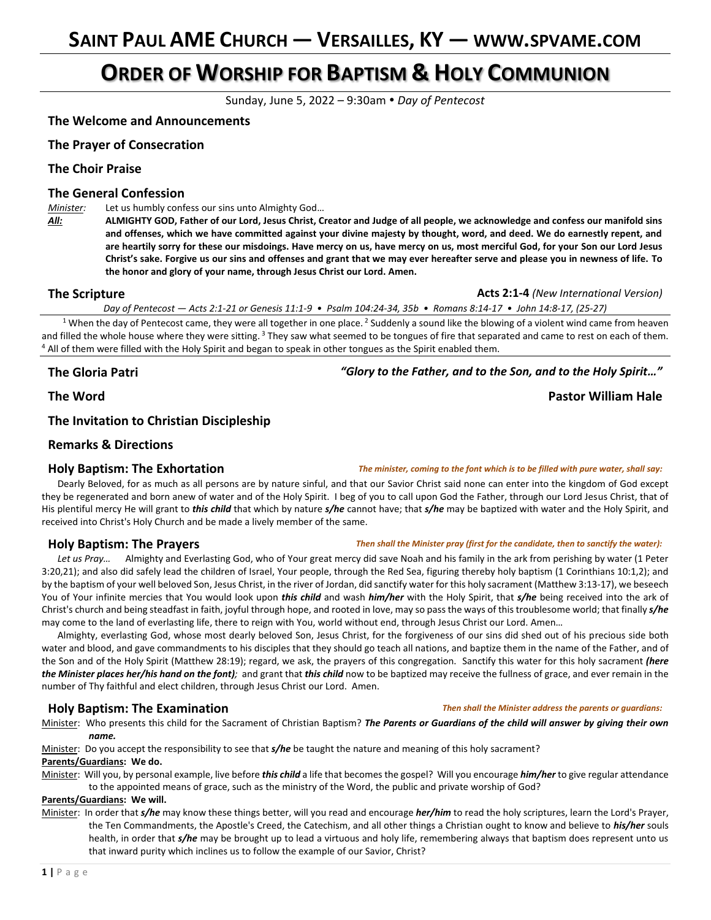# **ORDER OF WORSHIP FOR BAPTISM & HOLY COMMUNION**

Sunday, June 5, 2022 – 9:30am *Day of Pentecost*

### **The Welcome and Announcements**

### **The Prayer of Consecration**

### **The Choir Praise**

### **The General Confession**

*Minister:* Let us humbly confess our sins unto Almighty God…

*All:* **ALMIGHTY GOD, Father of our Lord, Jesus Christ, Creator and Judge of all people, we acknowledge and confess our manifold sins and offenses, which we have committed against your divine majesty by thought, word, and deed. We do earnestly repent, and are heartily sorry for these our misdoings. Have mercy on us, have mercy on us, most merciful God, for your Son our Lord Jesus Christ's sake. Forgive us our sins and offenses and grant that we may ever hereafter serve and please you in newness of life. To the honor and glory of your name, through Jesus Christ our Lord. Amen.**

#### **The Scripture Acts 2:1-4** *(New International Version)* **Acts 2:1-4** *(New International Version)*

*Day of Pentecost — Acts 2:1-21 or Genesis 11:1-9 • Psalm 104:24-34, 35b • Romans 8:14-17 • John 14:8-17, (25-27)*

<sup>1</sup> When the day of Pentecost came, they were all together in one place. <sup>2</sup> Suddenly a sound like the blowing of a violent wind came from heaven and filled the whole house where they were sitting.<sup>3</sup> They saw what seemed to be tongues of fire that separated and came to rest on each of them. <sup>4</sup> All of them were filled with the Holy Spirit and began to speak in other tongues as the Spirit enabled them.

**The Gloria Patri** *"Glory to the Father, and to the Son, and to the Holy Spirit…"*

### **The Invitation to Christian Discipleship**

### **Remarks & Directions**

### **Holy Baptism: The Exhortation** *The minister, coming to the font which is to be filled with pure water, shall say:*

Dearly Beloved, for as much as all persons are by nature sinful, and that our Savior Christ said none can enter into the kingdom of God except they be regenerated and born anew of water and of the Holy Spirit. I beg of you to call upon God the Father, through our Lord Jesus Christ, that of His plentiful mercy He will grant to *this child* that which by nature *s/he* cannot have; that *s/he* may be baptized with water and the Holy Spirit, and received into Christ's Holy Church and be made a lively member of the same.

#### **Holy Baptism: The Prayers** *Then shall the Minister pray (first for the candidate, then to sanctify the water):*

Let us Pray... Almighty and Everlasting God, who of Your great mercy did save Noah and his family in the ark from perishing by water (1 Peter 3:20,21); and also did safely lead the children of Israel, Your people, through the Red Sea, figuring thereby holy baptism (1 Corinthians 10:1,2); and by the baptism of your well beloved Son, Jesus Christ, in the river of Jordan, did sanctify water for this holy sacrament (Matthew 3:13-17), we beseech You of Your infinite mercies that You would look upon *this child* and wash *him/her* with the Holy Spirit, that *s/he* being received into the ark of Christ's church and being steadfast in faith, joyful through hope, and rooted in love, may so pass the ways of this troublesome world; that finally *s/he* may come to the land of everlasting life, there to reign with You, world without end, through Jesus Christ our Lord. Amen…

Almighty, everlasting God, whose most dearly beloved Son, Jesus Christ, for the forgiveness of our sins did shed out of his precious side both water and blood, and gave commandments to his disciples that they should go teach all nations, and baptize them in the name of the Father, and of the Son and of the Holy Spirit (Matthew 28:19); regard, we ask, the prayers of this congregation. Sanctify this water for this holy sacrament *(here the Minister places her/his hand on the font);* and grant that *this child* now to be baptized may receive the fullness of grace, and ever remain in the number of Thy faithful and elect children, through Jesus Christ our Lord. Amen.

Minister: Who presents this child for the Sacrament of Christian Baptism? *The Parents or Guardians of the child will answer by giving their own name.*

Minister: Do you accept the responsibility to see that *s/he* be taught the nature and meaning of this holy sacrament?

#### **Parents/Guardians: We do.**

Minister: Will you, by personal example, live before *this child* a life that becomes the gospel? Will you encourage *him/her* to give regular attendance to the appointed means of grace, such as the ministry of the Word, the public and private worship of God?

#### **Parents/Guardians: We will.**

Minister: In order that *s/he* may know these things better, will you read and encourage *her/him* to read the holy scriptures, learn the Lord's Prayer, the Ten Commandments, the Apostle's Creed, the Catechism, and all other things a Christian ought to know and believe to *his/her* souls health, in order that *s/he* may be brought up to lead a virtuous and holy life, remembering always that baptism does represent unto us that inward purity which inclines us to follow the example of our Savior, Christ?

# **The Word Pastor William Hale**

#### **Holy Baptism: The Examination** *Then shall the Minister address the parents or guardians:*